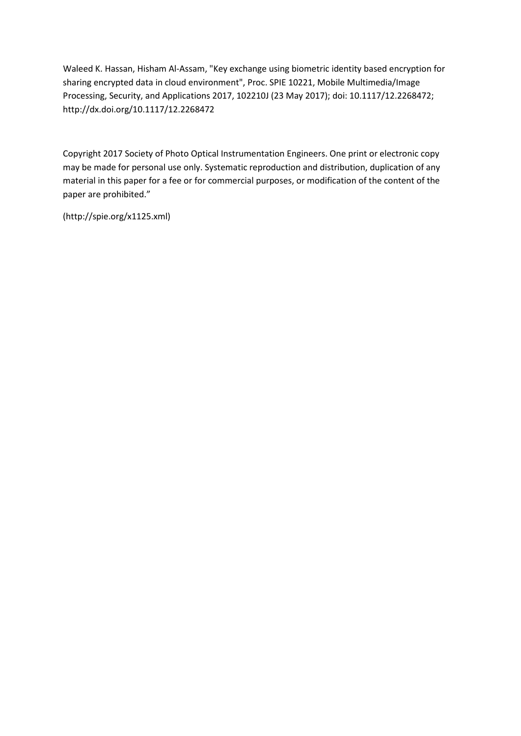[Waleed K. Hassan,](https://www.spiedigitallibrary.org/profile/Waleed.Hassan-4059976) [Hisham Al-Assam,](https://www.spiedigitallibrary.org/profile/Hisham.Al-Assam-102408) "Key exchange using biometric identity based encryption for sharing encrypted data in cloud environment", Proc. SPIE 10221, Mobile Multimedia/Image Processing, Security, and Applications 2017, 102210J (23 May 2017); doi: 10.1117/12.2268472; <http://dx.doi.org/10.1117/12.2268472>

Copyright 2017 Society of Photo Optical Instrumentation Engineers. One print or electronic copy may be made for personal use only. Systematic reproduction and distribution, duplication of any material in this paper for a fee or for commercial purposes, or modification of the content of the paper are prohibited."

(http://spie.org/x1125.xml)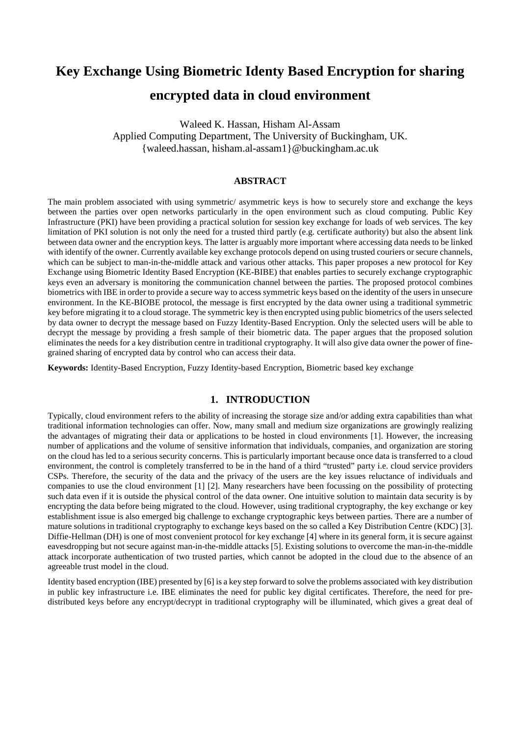# **Key Exchange Using Biometric Identy Based Encryption for sharing encrypted data in cloud environment**

Waleed K. Hassan, Hisham Al-Assam Applied Computing Department, The University of Buckingham, UK. {waleed.hassan, hisham.al-assam1}@buckingham.ac.uk

# **ABSTRACT**

The main problem associated with using symmetric/ asymmetric keys is how to securely store and exchange the keys between the parties over open networks particularly in the open environment such as cloud computing. Public Key Infrastructure (PKI) have been providing a practical solution for session key exchange for loads of web services. The key limitation of PKI solution is not only the need for a trusted third partly (e.g. certificate authority) but also the absent link between data owner and the encryption keys. The latter is arguably more important where accessing data needs to be linked with identify of the owner. Currently available key exchange protocols depend on using trusted couriers or secure channels, which can be subject to man-in-the-middle attack and various other attacks. This paper proposes a new protocol for Key Exchange using Biometric Identity Based Encryption (KE-BIBE) that enables parties to securely exchange cryptographic keys even an adversary is monitoring the communication channel between the parties. The proposed protocol combines biometrics with IBE in order to provide a secure way to access symmetric keys based on the identity of the users in unsecure environment. In the KE-BIOBE protocol, the message is first encrypted by the data owner using a traditional symmetric key before migrating it to a cloud storage. The symmetric key is then encrypted using public biometrics of the users selected by data owner to decrypt the message based on Fuzzy Identity-Based Encryption. Only the selected users will be able to decrypt the message by providing a fresh sample of their biometric data. The paper argues that the proposed solution eliminates the needs for a key distribution centre in traditional cryptography. It will also give data owner the power of finegrained sharing of encrypted data by control who can access their data.

**Keywords:** Identity-Based Encryption, Fuzzy Identity-based Encryption, Biometric based key exchange

# **1. INTRODUCTION**

Typically, cloud environment refers to the ability of increasing the storage size and/or adding extra capabilities than what traditional information technologies can offer. Now, many small and medium size organizations are growingly realizing the advantages of migrating their data or applications to be hosted in cloud environments [1]. However, the increasing number of applications and the volume of sensitive information that individuals, companies, and organization are storing on the cloud has led to a serious security concerns. This is particularly important because once data is transferred to a cloud environment, the control is completely transferred to be in the hand of a third "trusted" party i.e. cloud service providers CSPs. Therefore, the security of the data and the privacy of the users are the key issues reluctance of individuals and companies to use the cloud environment [1] [2]. Many researchers have been focussing on the possibility of protecting such data even if it is outside the physical control of the data owner. One intuitive solution to maintain data security is by encrypting the data before being migrated to the cloud. However, using traditional cryptography, the key exchange or key establishment issue is also emerged big challenge to exchange cryptographic keys between parties. There are a number of mature solutions in traditional cryptography to exchange keys based on the so called a Key Distribution Centre (KDC) [3]. Diffie-Hellman (DH) is one of most convenient protocol for key exchange [4] where in its general form, it is secure against eavesdropping but not secure against man-in-the-middle attacks [5]. Existing solutions to overcome the man-in-the-middle attack incorporate authentication of two trusted parties, which cannot be adopted in the cloud due to the absence of an agreeable trust model in the cloud.

Identity based encryption (IBE) presented by [6] is a key step forward to solve the problems associated with key distribution in public key infrastructure i.e. IBE eliminates the need for public key digital certificates. Therefore, the need for predistributed keys before any encrypt/decrypt in traditional cryptography will be illuminated, which gives a great deal of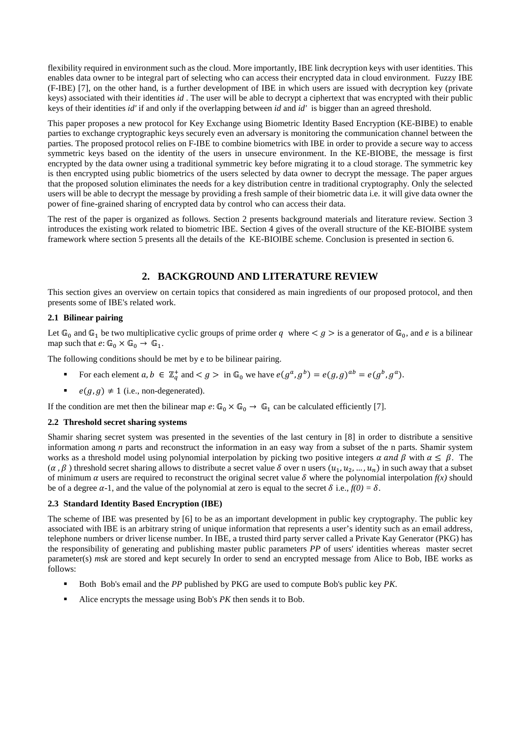flexibility required in environment such as the cloud. More importantly, IBE link decryption keys with user identities. This enables data owner to be integral part of selecting who can access their encrypted data in cloud environment. Fuzzy IBE (F-IBE) [7], on the other hand, is a further development of IBE in which users are issued with decryption key (private keys) associated with their identities *id* . The user will be able to decrypt a ciphertext that was encrypted with their public keys of their identities *id'* if and only if the overlapping between *id* and *id'* is bigger than an agreed threshold.

This paper proposes a new protocol for Key Exchange using Biometric Identity Based Encryption (KE-BIBE) to enable parties to exchange cryptographic keys securely even an adversary is monitoring the communication channel between the parties. The proposed protocol relies on F-IBE to combine biometrics with IBE in order to provide a secure way to access symmetric keys based on the identity of the users in unsecure environment. In the KE-BIOBE, the message is first encrypted by the data owner using a traditional symmetric key before migrating it to a cloud storage. The symmetric key is then encrypted using public biometrics of the users selected by data owner to decrypt the message. The paper argues that the proposed solution eliminates the needs for a key distribution centre in traditional cryptography. Only the selected users will be able to decrypt the message by providing a fresh sample of their biometric data i.e. it will give data owner the power of fine-grained sharing of encrypted data by control who can access their data.

The rest of the paper is organized as follows. Section 2 presents background materials and literature review. Section 3 introduces the existing work related to biometric IBE. Section 4 gives of the overall structure of the KE-BIOIBE system framework where section 5 presents all the details of the KE-BIOIBE scheme. Conclusion is presented in section 6.

# **2. BACKGROUND AND LITERATURE REVIEW**

This section gives an overview on certain topics that considered as main ingredients of our proposed protocol, and then presents some of IBE's related work.

## **2.1 Bilinear pairing**

Let  $\mathbb{G}_0$  and  $\mathbb{G}_1$  be two multiplicative cyclic groups of prime order q where  $\lt g \gt i$  is a generator of  $\mathbb{G}_0$ , and e is a bilinear map such that  $e: \mathbb{G}_0 \times \mathbb{G}_0 \to \mathbb{G}_1$ .

The following conditions should be met by e to be bilinear pairing.

- For each element  $a, b \in \mathbb{Z}_q^+$  and  $\langle g \rangle$  in  $\mathbb{G}_0$  we have  $e(g^a, g^b) = e(g, g)^{ab} = e(g^b, g^a)$ .
- $e(g, g) \neq 1$  (i.e., non-degenerated).

If the condition are met then the bilinear map  $e: \mathbb{G}_0 \times \mathbb{G}_0 \to \mathbb{G}_1$  can be calculated efficiently [7].

## **2.2 Threshold secret sharing systems**

Shamir sharing secret system was presented in the seventies of the last century in [8] in order to distribute a sensitive information among *n* parts and reconstruct the information in an easy way from a subset of the n parts. Shamir system works as a threshold model using polynomial interpolation by picking two positive integers  $\alpha$  and  $\beta$  with  $\alpha \leq \beta$ . The  $(\alpha, \beta)$  threshold secret sharing allows to distribute a secret value  $\delta$  over n users  $(u_1, u_2, ..., u_n)$  in such away that a subset of minimum  $\alpha$  users are required to reconstruct the original secret value  $\delta$  where the polynomial interpolation  $f(x)$  should be of a degree  $\alpha$ -1, and the value of the polynomial at zero is equal to the secret  $\delta$  i.e.,  $f(0) = \delta$ .

## **2.3 Standard Identity Based Encryption (IBE)**

The scheme of IBE was presented by [6] to be as an important development in public key cryptography. The public key associated with IBE is an arbitrary string of unique information that represents a user's identity such as an email address, telephone numbers or driver license number. In IBE, a trusted third party server called a Private Kay Generator (PKG) has the responsibility of generating and publishing master public parameters *PP* of users' identities whereas master secret parameter(s) *msk* are stored and kept securely In order to send an encrypted message from Alice to Bob, IBE works as follows:

- Both Bob's email and the *PP* published by PKG are used to compute Bob's public key *PK*.
- Alice encrypts the message using Bob's *PK* then sends it to Bob.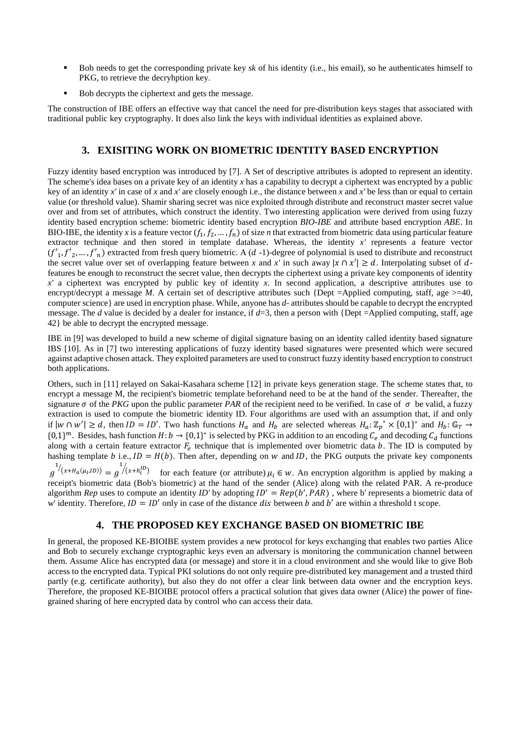- Bob needs to get the corresponding private key *sk* of his identity (i.e., his email), so he authenticates himself to PKG, to retrieve the decryhption key.
- Bob decrypts the ciphertext and gets the message.

The construction of IBE offers an effective way that cancel the need for pre-distribution keys stages that associated with traditional public key cryptography. It does also link the keys with individual identities as explained above.

# **3. EXISITING WORK ON BIOMETRIC IDENTITY BASED ENCRYPTION**

Fuzzy identity based encryption was introduced by [7]. A Set of descriptive attributes is adopted to represent an identity. The scheme's idea bases on a private key of an identity *x* has a capability to decrypt a ciphertext was encrypted by a public key of an identity *x'* in case of *x* and *x'* are closely enough i.e., the distance between *x* and *x'* be less than or equal to certain value (or threshold value). Shamir sharing secret was nice exploited through distribute and reconstruct master secret value over and from set of attributes, which construct the identity. Two interesting application were derived from using fuzzy identity based encryption scheme: biometric identity based encryption *BIO-IBE* and attribute based encryption *ABE*. In BIO-IBE, the identity x is a feature vector  $(f_1, f_2, ..., f_n)$  of size *n* that extracted from biometric data using particular feature extractor technique and then stored in template database. Whereas, the identity *x'* represents a feature vector  $(f'_1, f'_2, ..., f'_n)$  extracted from fresh query biometric. A  $(d-1)$ -degree of polynomial is used to distribute and reconstruct the secret value over set of overlapping feature between *x* and *x'* in such away  $|x \cap x'| \ge d$ . Interpolating subset of dfeatures be enough to reconstruct the secret value, then decrypts the ciphertext using a private key components of identity *x'* a ciphertext was encrypted by public key of identity *x*. In second application, a descriptive attributes use to encrypt/decrypt a message *M*. A certain set of descriptive attributes such {Dept =Applied computing, staff, age  $>=$  40, computer science} are used in encryption phase. While, anyone has *d*- attributes should be capable to decrypt the encrypted message. The *d* value is decided by a dealer for instance, if  $d=3$ , then a person with {Dept =Applied computing, staff, age 42} be able to decrypt the encrypted message.

IBE in [9] was developed to build a new scheme of digital signature basing on an identity called identity based signature IBS [10]. As in [7] two interesting applications of fuzzy identity based signatures were presented which were secured against adaptive chosen attack. They exploited parameters are used to construct fuzzy identity based encryption to construct both applications.

Others, such in [11] relayed on Sakai-Kasahara scheme [12] in private keys generation stage. The scheme states that, to encrypt a message M, the recipient's biometric template beforehand need to be at the hand of the sender. Thereafter, the signature  $\sigma$  of the *PKG* upon the public parameter *PAR* of the recipient need to be verified. In case of  $\sigma$  be valid, a fuzzy extraction is used to compute the biometric identity ID. Four algorithms are used with an assumption that, if and only if  $|w \cap w'| \ge d$ , then  $ID = ID'$ . Two hash functions  $H_a$  and  $H_b$  are selected whereas  $H_a: \mathbb{Z}_p^* \times \{0,1\}^*$  and  $H_b: \mathbb{G}_T \to$  $\{0,1\}^m$ . Besides, hash function  $H: b \to \{0,1\}^*$  is selected by PKG in addition to an encoding  $C_e$  and decoding  $C_d$  functions along with a certain feature extractor  $F_e$  technique that is implemented over biometric data  $b$ . The ID is computed by hashing template *b* i.e.,  $ID = H(b)$ . Then after, depending on *w* and *ID*, the PKG outputs the private key components  $^{1}/(x+H_a(\mu_i,D)) = g$  $\frac{1}{x+h_i^D}$  for each feature (or attribute)  $\mu_i \in W$ . An encryption algorithm is applied by making a

 $\boldsymbol{g}$ receipt's biometric data (Bob's biometric) at the hand of the sender (Alice) along with the related PAR. A re-produce algorithm *Rep* uses to compute an identity *ID'* by adopting  $ID' = Rep(b', PAR)$ , where b' represents a biometric data of w' identity. Therefore,  $ID = ID'$  only in case of the distance dis between b and b' are within a threshold t scope.

# **4. THE PROPOSED KEY EXCHANGE BASED ON BIOMETRIC IBE**

In general, the proposed KE-BIOIBE system provides a new protocol for keys exchanging that enables two parties Alice and Bob to securely exchange cryptographic keys even an adversary is monitoring the communication channel between them. Assume Alice has encrypted data (or message) and store it in a cloud environment and she would like to give Bob access to the encrypted data. Typical PKI solutions do not only require pre-distributed key management and a trusted third partly (e.g. certificate authority), but also they do not offer a clear link between data owner and the encryption keys. Therefore, the proposed KE-BIOIBE protocol offers a practical solution that gives data owner (Alice) the power of finegrained sharing of here encrypted data by control who can access their data.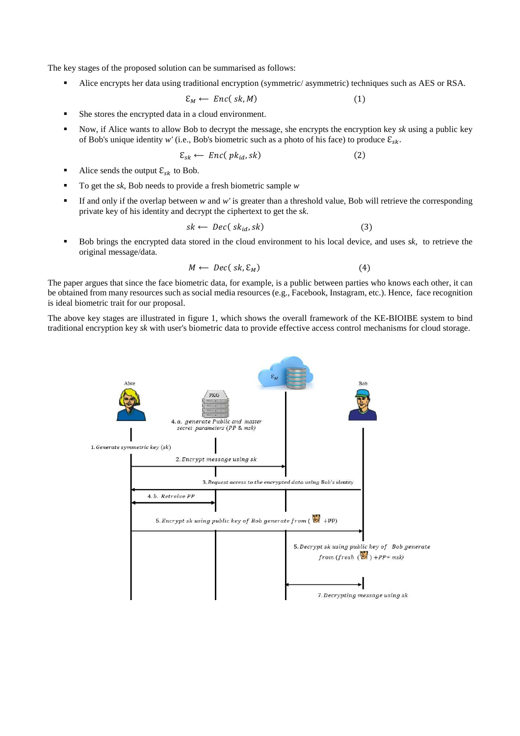The key stages of the proposed solution can be summarised as follows:

Alice encrypts her data using traditional encryption (symmetric/ asymmetric) techniques such as AES or RSA.

$$
\mathcal{E}_M \leftarrow \text{Enc}(\text{sk}, M) \tag{1}
$$

- She stores the encrypted data in a cloud environment.
- Now, if Alice wants to allow Bob to decrypt the message, she encrypts the encryption key *sk* using a public key of Bob's unique identity *w'* (i.e., Bob's biometric such as a photo of his face) to produce  $\mathcal{E}_{sk}$ .

$$
\mathcal{E}_{sk} \leftarrow \text{Enc}(\text{pk}_{id}, sk) \tag{2}
$$

- Alice sends the output  $\mathcal{E}_{sk}$  to Bob.
- To get the *sk*, Bob needs to provide a fresh biometric sample *w*
- If and only if the overlap between  $w$  and  $w'$  is greater than a threshold value, Bob will retrieve the corresponding private key of his identity and decrypt the ciphertext to get the *sk*.

$$
sk \leftarrow \text{Dec}(\text{sk}_{id}, sk) \tag{3}
$$

 Bob brings the encrypted data stored in the cloud environment to his local device, and uses *sk*, to retrieve the original message/data.

$$
M \leftarrow \text{Dec}(\text{sk}, \mathcal{E}_M) \tag{4}
$$

The paper argues that since the face biometric data, for example, is a public between parties who knows each other, it can be obtained from many resources such as social media resources (e.g., Facebook, Instagram, etc.). Hence, face recognition is ideal biometric trait for our proposal.

The above key stages are illustrated in figure 1, which shows the overall framework of the KE**-**BIOIBE system to bind traditional encryption key *sk* with user's biometric data to provide effective access control mechanisms for cloud storage.

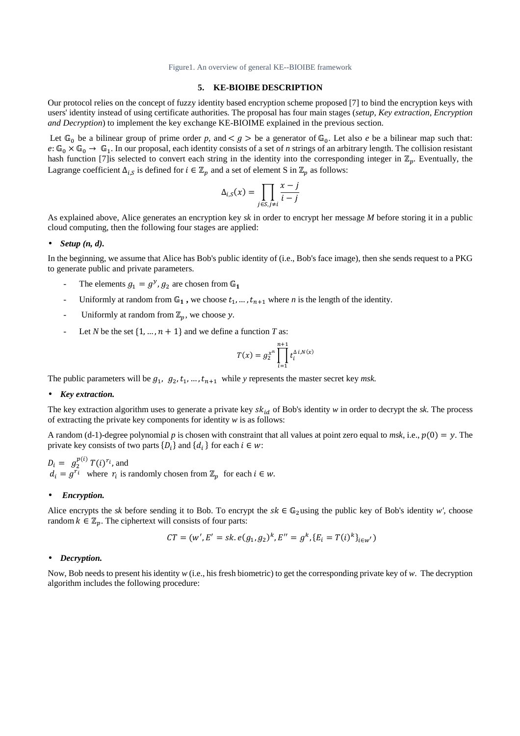Figure1. An overview of general KE--BIOIBE framework

## **5. KE-BIOIBE DESCRIPTION**

Our protocol relies on the concept of fuzzy identity based encryption scheme proposed [7] to bind the encryption keys with users' identity instead of using certificate authorities. The proposal has four main stages (*setup, Key extraction, Encryption and Decryption*) to implement the key exchange KE-BIOIME explained in the previous section.

Let  $\mathbb{G}_0$  be a bilinear group of prime order p, and  $\lt g$   $>$  be a generator of  $\mathbb{G}_0$ . Let also *e* be a bilinear map such that:  $e: \mathbb{G}_0 \times \mathbb{G}_0 \to \mathbb{G}_1$ . In our proposal, each identity consists of a set of *n* strings of an arbitrary length. The collision resistant hash function [7] is selected to convert each string in the identity into the corresponding integer in  $\mathbb{Z}_p$ . Eventually, the Lagrange coefficient  $\Delta_{i,s}$  is defined for  $i \in \mathbb{Z}_p$  and a set of element S in  $\mathbb{Z}_p$  as follows:

$$
\Delta_{i,S}(x) = \prod_{j \in S, j \neq i} \frac{x - j}{i - j}
$$

As explained above, Alice generates an encryption key *sk* in order to encrypt her message *M* before storing it in a public cloud computing, then the following four stages are applied:

### • *Setup (n, d).*

In the beginning, we assume that Alice has Bob's public identity of (i.e., Bob's face image), then she sends request to a PKG to generate public and private parameters.

- The elements  $g_1 = g^y$ ,  $g_2$  are chosen from  $\mathbb{G}_1$
- Uniformly at random from  $\mathbb{G}_1$ , we choose  $t_1, ..., t_{n+1}$  where *n* is the length of the identity.
- Uniformly at random from  $\mathbb{Z}_p$ , we choose y.
- Let *N* be the set  $\{1, ..., n + 1\}$  and we define a function *T* as:

$$
T(x) = g_2^{x^n} \prod_{i=1}^{n+1} t_i^{\Delta i, N(x)}
$$

The public parameters will be  $g_1$ ,  $g_2$ ,  $t_1$ , ...,  $t_{n+1}$  while *y* represents the master secret key *msk*.

#### • *Key extraction.*

The key extraction algorithm uses to generate a private key  $sk_{id}$  of Bob's identity  $w$  in order to decrypt the  $sk$ . The process of extracting the private key components for identity *w* is as follows:

A random (d-1)-degree polynomial *p* is chosen with constraint that all values at point zero equal to *msk*, i.e.,  $p(0) = y$ . The private key consists of two parts  $\{D_i\}$  and  $\{d_i\}$  for each  $i \in w$ :

 $D_i = g_2^{p(i)} T(i)^{r_i}$ , and  $d_i = g^{r_i}$  where  $r_i$  is randomly chosen from  $\mathbb{Z}_p$  for each  $i \in \mathbb{W}$ .

#### • *Encryption.*

Alice encrypts the *sk* before sending it to Bob. To encrypt the  $sk \in \mathbb{G}_2$ using the public key of Bob's identity *w'*, choose random  $k \in \mathbb{Z}_p$ . The ciphertext will consists of four parts:

$$
CT = (w', E' = sk.e(g_1, g_2)^k, E'' = g^k, \{E_i = T(i)^k\}_{i \in w'})
$$

#### • *Decryption.*

Now, Bob needs to present his identity *w* (i.e., his fresh biometric) to get the corresponding private key of *w*. The decryption algorithm includes the following procedure: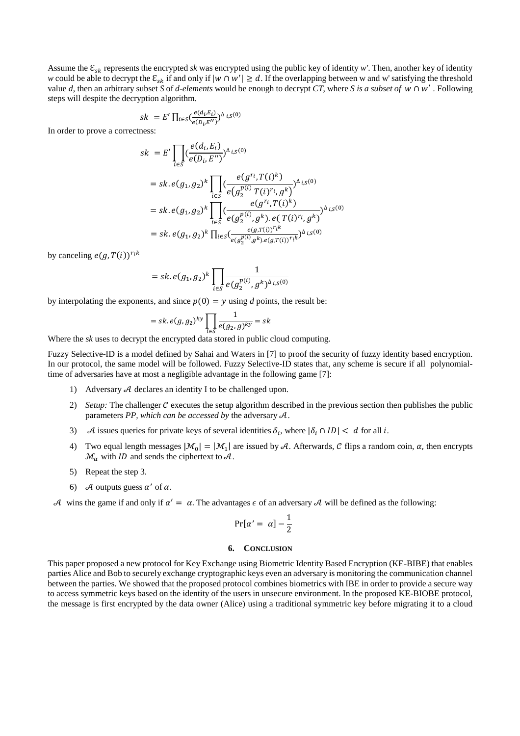Assume the  $\mathcal{E}_{sk}$  represents the encrypted *sk* was encrypted using the public key of identity *w'*. Then, another key of identity *w* could be able to decrypt the  $\mathcal{E}_{sk}$  if and only if  $|w \cap w'| \ge d$ . If the overlapping between w and w' satisfying the threshold value *d*, then an arbitrary subset *S* of *d-elements* would be enough to decrypt CT, where *S* is a subset of  $w \cap w'$ . Following steps will despite the decryption algorithm.

$$
sk = E' \prod_{i \in S} \left( \frac{e(a_i, E_i)}{e(D_i, E'')} \right)^{\Delta} iS^{(0)}
$$

In order to prove a correctness:

$$
sk = E' \prod_{i \in S} \left( \frac{e(d_i, E_i)}{e(D_i, E'')} \right)^{\Delta_{i,S}(0)}
$$
  
\n
$$
= sk. e(g_1, g_2)^k \prod_{i \in S} \left( \frac{e(g^{r_i}, T(i)^k)}{e(g_2^{p(i)} T(i)^{r_i}, g^k)} \right)^{\Delta_{i,S}(0)}
$$
  
\n
$$
= sk. e(g_1, g_2)^k \prod_{i \in S} \left( \frac{e(g^{r_i}, T(i)^k)}{e(g_2^{p(i)}, g^k). e(T(i)^{r_i}, g^k)} \right)^{\Delta_{i,S}(0)}
$$
  
\n
$$
= sk. e(g_1, g_2)^k \prod_{i \in S} \left( \frac{e(g, T(i))^r i^k}{e(g_2^{p(i)}, g^k). e(g, T(i))^r i^k} \right)^{\Delta_{i,S}(0)}
$$

by canceling  $e(g, T(i))^{r_i k}$ 

$$
= sk.e(g_1, g_2)^k \prod_{i \in S} \frac{1}{e(g_2^{p(i)}, g^k)^{\Delta} iS^{(0)}}
$$

by interpolating the exponents, and since  $p(0) = y$  using *d* points, the result be:

$$
= sk.e(g,g_2)^{ky} \prod_{i \in S} \frac{1}{e(g_2,g)^{ky}} = sk
$$

Where the *sk* uses to decrypt the encrypted data stored in public cloud computing.

Fuzzy Selective-ID is a model defined by Sahai and Waters in [7] to proof the security of fuzzy identity based encryption. In our protocol, the same model will be followed. Fuzzy Selective-ID states that, any scheme is secure if all polynomialtime of adversaries have at most a negligible advantage in the following game [7]:

- 1) Adversary  $A$  declares an identity I to be challenged upon.
- 2) *Setup:* The challenger C executes the setup algorithm described in the previous section then publishes the public parameters  $PP$ , which can be accessed by the adversary  $A$ .
- 3) A issues queries for private keys of several identities  $\delta_i$ , where  $|\delta_i \cap ID| < d$  for all i.
- 4) Two equal length messages  $|\mathcal{M}_0| = |\mathcal{M}_1|$  are issued by A. Afterwards, C flips a random coin,  $\alpha$ , then encrypts  $\mathcal{M}_{\alpha}$  with *ID* and sends the ciphertext to  $\mathcal{A}$ .
- 5) Repeat the step 3.
- 6) A outputs guess  $\alpha'$  of  $\alpha$ .

A wins the game if and only if  $\alpha' = \alpha$ . The advantages  $\epsilon$  of an adversary A will be defined as the following:

$$
Pr[\alpha' = \alpha] - \frac{1}{2}
$$

#### **6. CONCLUSION**

This paper proposed a new protocol for Key Exchange using Biometric Identity Based Encryption (KE-BIBE) that enables parties Alice and Bob to securely exchange cryptographic keys even an adversary is monitoring the communication channel between the parties. We showed that the proposed protocol combines biometrics with IBE in order to provide a secure way to access symmetric keys based on the identity of the users in unsecure environment. In the proposed KE-BIOBE protocol, the message is first encrypted by the data owner (Alice) using a traditional symmetric key before migrating it to a cloud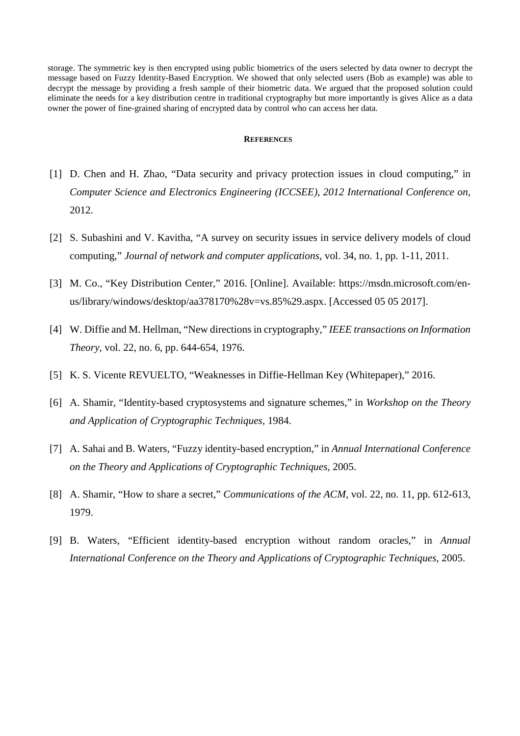storage. The symmetric key is then encrypted using public biometrics of the users selected by data owner to decrypt the message based on Fuzzy Identity-Based Encryption. We showed that only selected users (Bob as example) was able to decrypt the message by providing a fresh sample of their biometric data. We argued that the proposed solution could eliminate the needs for a key distribution centre in traditional cryptography but more importantly is gives Alice as a data owner the power of fine-grained sharing of encrypted data by control who can access her data.

### **REFERENCES**

- [1] D. Chen and H. Zhao, "Data security and privacy protection issues in cloud computing," in *Computer Science and Electronics Engineering (ICCSEE), 2012 International Conference on*, 2012.
- [2] S. Subashini and V. Kavitha, "A survey on security issues in service delivery models of cloud computing," *Journal of network and computer applications,* vol. 34, no. 1, pp. 1-11, 2011.
- [3] M. Co., "Key Distribution Center," 2016. [Online]. Available: https://msdn.microsoft.com/enus/library/windows/desktop/aa378170%28v=vs.85%29.aspx. [Accessed 05 05 2017].
- [4] W. Diffie and M. Hellman, "New directions in cryptography," *IEEE transactions on Information Theory,* vol. 22, no. 6, pp. 644-654, 1976.
- [5] K. S. Vicente REVUELTO, "Weaknesses in Diffie-Hellman Key (Whitepaper)," 2016.
- [6] A. Shamir, "Identity-based cryptosystems and signature schemes," in *Workshop on the Theory and Application of Cryptographic Techniques*, 1984.
- [7] A. Sahai and B. Waters, "Fuzzy identity-based encryption," in *Annual International Conference on the Theory and Applications of Cryptographic Techniques*, 2005.
- [8] A. Shamir, "How to share a secret," *Communications of the ACM,* vol. 22, no. 11, pp. 612-613, 1979.
- [9] B. Waters, "Efficient identity-based encryption without random oracles," in *Annual International Conference on the Theory and Applications of Cryptographic Techniques*, 2005.